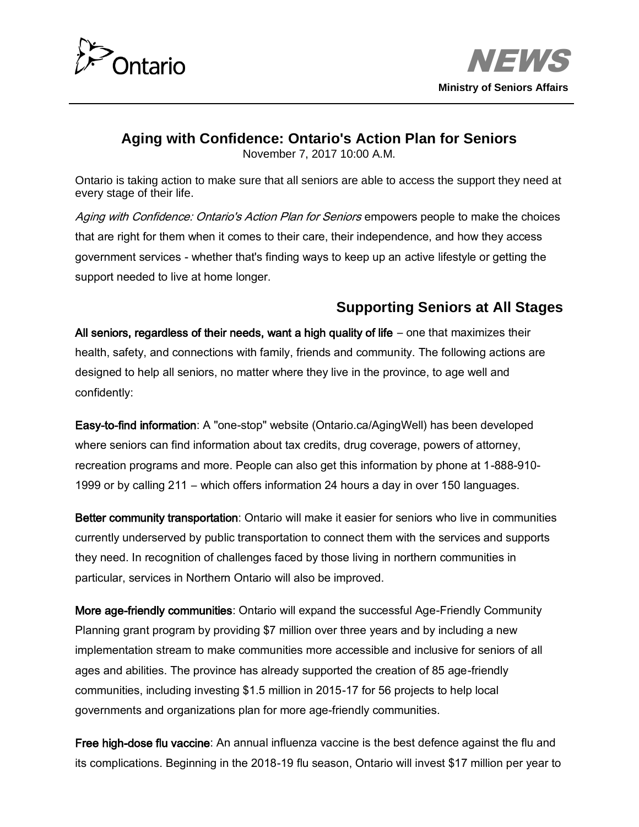



#### **Aging with Confidence: Ontario's Action Plan for Seniors**

November 7, 2017 10:00 A.M.

Ontario is taking action to make sure that all seniors are able to access the support they need at every stage of their life.

Aging with Confidence: Ontario's Action Plan for Seniors empowers people to make the choices that are right for them when it comes to their care, their independence, and how they access government services - whether that's finding ways to keep up an active lifestyle or getting the support needed to live at home longer.

# **Supporting Seniors at All Stages**

All seniors, regardless of their needs, want a high quality of life  $-$  one that maximizes their health, safety, and connections with family, friends and community. The following actions are designed to help all seniors, no matter where they live in the province, to age well and confidently:

Easy-to-find information: A "one-stop" website (Ontario.ca/AgingWell) has been developed where seniors can find information about tax credits, drug coverage, powers of attorney, recreation programs and more. People can also get this information by phone at 1-888-910- 1999 or by calling 211 ― which offers information 24 hours a day in over 150 languages.

Better community transportation: Ontario will make it easier for seniors who live in communities currently underserved by public transportation to connect them with the services and supports they need. In recognition of challenges faced by those living in northern communities in particular, services in Northern Ontario will also be improved.

More age-friendly communities: Ontario will expand the successful Age-Friendly Community Planning grant program by providing \$7 million over three years and by including a new implementation stream to make communities more accessible and inclusive for seniors of all ages and abilities. The province has already supported the creation of 85 age-friendly communities, including investing \$1.5 million in 2015-17 for 56 projects to help local governments and organizations plan for more age-friendly communities.

Free high-dose flu vaccine: An annual influenza vaccine is the best defence against the flu and its complications. Beginning in the 2018-19 flu season, Ontario will invest \$17 million per year to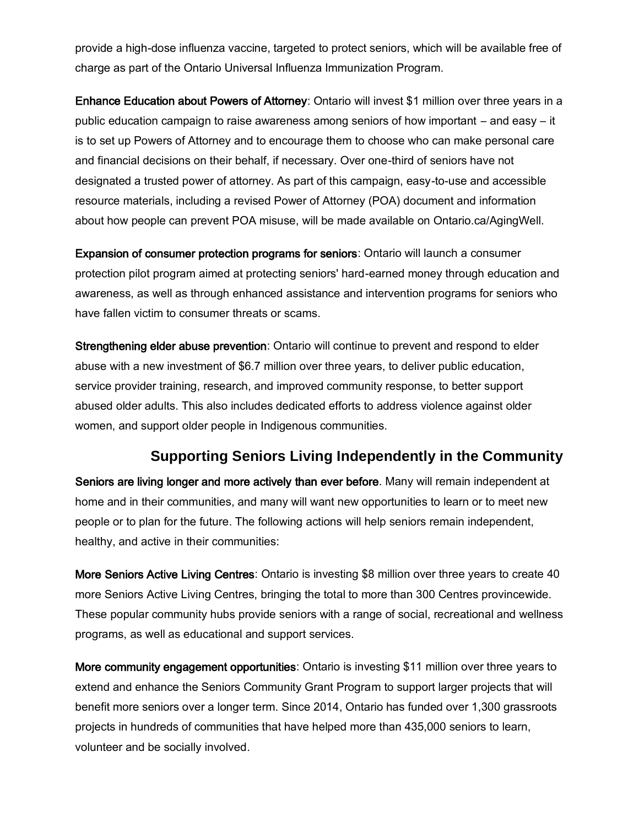provide a high-dose influenza vaccine, targeted to protect seniors, which will be available free of charge as part of the Ontario Universal Influenza Immunization Program.

Enhance Education about Powers of Attorney: Ontario will invest \$1 million over three years in a public education campaign to raise awareness among seniors of how important ― and easy ― it is to set up Powers of Attorney and to encourage them to choose who can make personal care and financial decisions on their behalf, if necessary. Over one-third of seniors have not designated a trusted power of attorney. As part of this campaign, easy-to-use and accessible resource materials, including a revised Power of Attorney (POA) document and information about how people can prevent POA misuse, will be made available on Ontario.ca/AgingWell.

Expansion of consumer protection programs for seniors: Ontario will launch a consumer protection pilot program aimed at protecting seniors' hard-earned money through education and awareness, as well as through enhanced assistance and intervention programs for seniors who have fallen victim to consumer threats or scams.

Strengthening elder abuse prevention: Ontario will continue to prevent and respond to elder abuse with a new investment of \$6.7 million over three years, to deliver public education, service provider training, research, and improved community response, to better support abused older adults. This also includes dedicated efforts to address violence against older women, and support older people in Indigenous communities.

## **Supporting Seniors Living Independently in the Community**

Seniors are living longer and more actively than ever before. Many will remain independent at home and in their communities, and many will want new opportunities to learn or to meet new people or to plan for the future. The following actions will help seniors remain independent, healthy, and active in their communities:

More Seniors Active Living Centres: Ontario is investing \$8 million over three years to create 40 more Seniors Active Living Centres, bringing the total to more than 300 Centres provincewide. These popular community hubs provide seniors with a range of social, recreational and wellness programs, as well as educational and support services.

More community engagement opportunities: Ontario is investing \$11 million over three years to extend and enhance the Seniors Community Grant Program to support larger projects that will benefit more seniors over a longer term. Since 2014, Ontario has funded over 1,300 grassroots projects in hundreds of communities that have helped more than 435,000 seniors to learn, volunteer and be socially involved.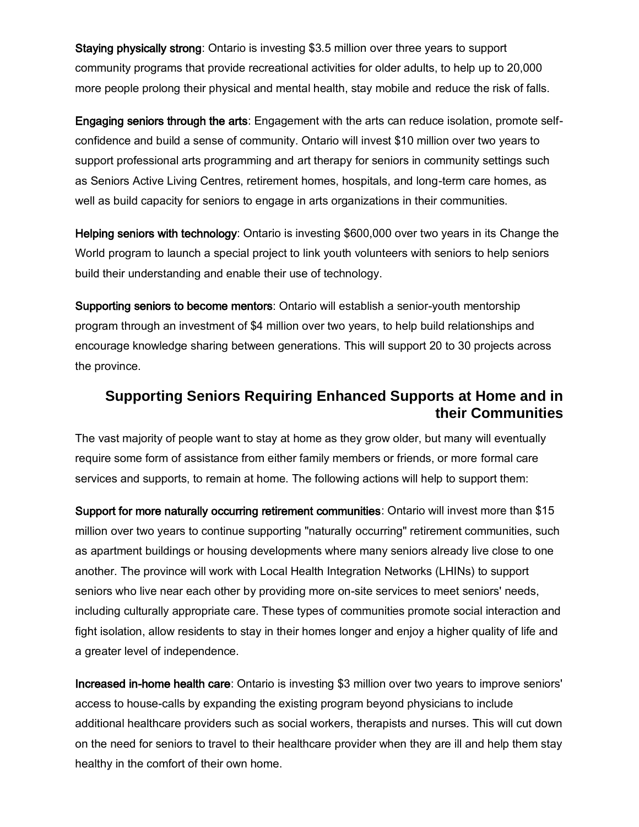Staying physically strong: Ontario is investing \$3.5 million over three years to support community programs that provide recreational activities for older adults, to help up to 20,000 more people prolong their physical and mental health, stay mobile and reduce the risk of falls.

Engaging seniors through the arts: Engagement with the arts can reduce isolation, promote selfconfidence and build a sense of community. Ontario will invest \$10 million over two years to support professional arts programming and art therapy for seniors in community settings such as Seniors Active Living Centres, retirement homes, hospitals, and long-term care homes, as well as build capacity for seniors to engage in arts organizations in their communities.

Helping seniors with technology: Ontario is investing \$600,000 over two years in its Change the World program to launch a special project to link youth volunteers with seniors to help seniors build their understanding and enable their use of technology.

Supporting seniors to become mentors: Ontario will establish a senior-youth mentorship program through an investment of \$4 million over two years, to help build relationships and encourage knowledge sharing between generations. This will support 20 to 30 projects across the province.

## **Supporting Seniors Requiring Enhanced Supports at Home and in their Communities**

The vast majority of people want to stay at home as they grow older, but many will eventually require some form of assistance from either family members or friends, or more formal care services and supports, to remain at home. The following actions will help to support them:

Support for more naturally occurring retirement communities: Ontario will invest more than \$15 million over two years to continue supporting "naturally occurring" retirement communities, such as apartment buildings or housing developments where many seniors already live close to one another. The province will work with Local Health Integration Networks (LHINs) to support seniors who live near each other by providing more on-site services to meet seniors' needs, including culturally appropriate care. These types of communities promote social interaction and fight isolation, allow residents to stay in their homes longer and enjoy a higher quality of life and a greater level of independence.

Increased in-home health care: Ontario is investing \$3 million over two years to improve seniors' access to house-calls by expanding the existing program beyond physicians to include additional healthcare providers such as social workers, therapists and nurses. This will cut down on the need for seniors to travel to their healthcare provider when they are ill and help them stay healthy in the comfort of their own home.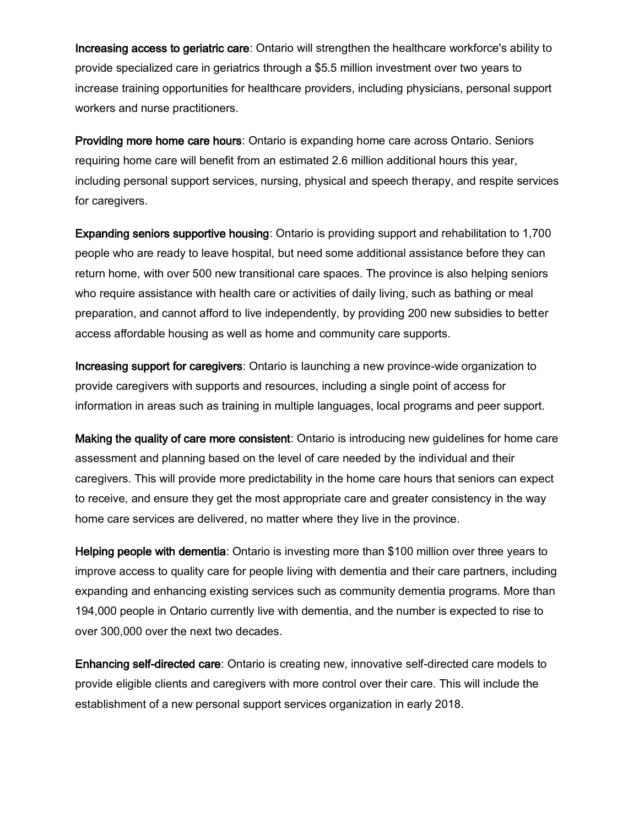Increasing access to geriatric care: Ontario will strengthen the healthcare workforce's ability to provide specialized care in geriatrics through a \$5.5 million investment over two years to increase training opportunities for healthcare providers, including physicians, personal support workers and nurse practitioners.

Providing more home care hours: Ontario is expanding home care across Ontario. Seniors requiring home care will benefit from an estimated 2.6 million additional hours this year, including personal support services, nursing, physical and speech therapy, and respite services for caregivers.

Expanding seniors supportive housing: Ontario is providing support and rehabilitation to 1,700 people who are ready to leave hospital, but need some additional assistance before they can return home, with over 500 new transitional care spaces. The province is also helping seniors who require assistance with health care or activities of daily living, such as bathing or meal preparation, and cannot afford to live independently, by providing 200 new subsidies to better access affordable housing as well as home and community care supports.

Increasing support for caregivers: Ontario is launching a new province-wide organization to provide caregivers with supports and resources, including a single point of access for information in areas such as training in multiple languages, local programs and peer support.

Making the quality of care more consistent: Ontario is introducing new guidelines for home care assessment and planning based on the level of care needed by the individual and their caregivers. This will provide more predictability in the home care hours that seniors can expect to receive, and ensure they get the most appropriate care and greater consistency in the way home care services are delivered, no matter where they live in the province.

Helping people with dementia: Ontario is investing more than \$100 million over three years to improve access to quality care for people living with dementia and their care partners, including expanding and enhancing existing services such as community dementia programs. More than 194,000 people in Ontario currently live with dementia, and the number is expected to rise to over 300,000 over the next two decades.

Enhancing self-directed care: Ontario is creating new, innovative self-directed care models to provide eligible clients and caregivers with more control over their care. This will include the establishment of a new personal support services organization in early 2018.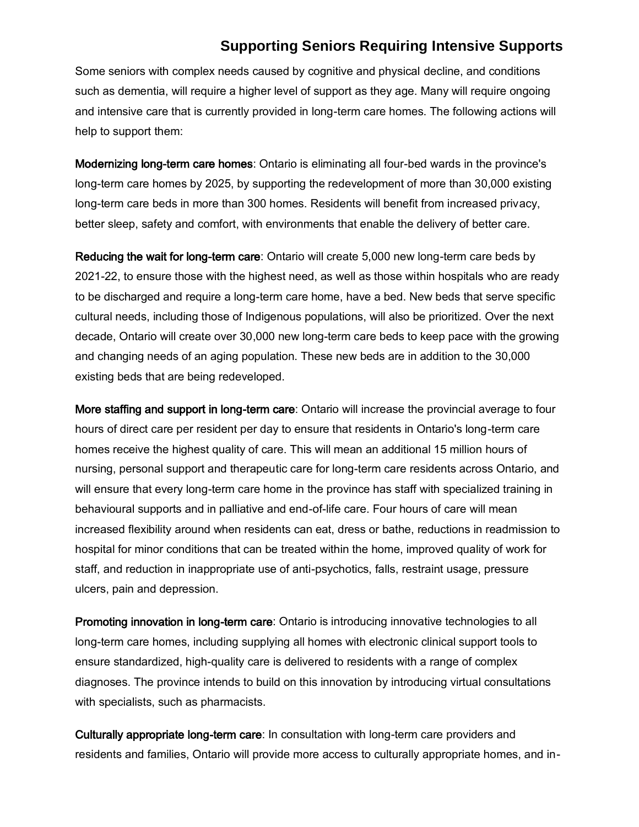#### **Supporting Seniors Requiring Intensive Supports**

Some seniors with complex needs caused by cognitive and physical decline, and conditions such as dementia, will require a higher level of support as they age. Many will require ongoing and intensive care that is currently provided in long-term care homes. The following actions will help to support them:

Modernizing long-term care homes: Ontario is eliminating all four-bed wards in the province's long-term care homes by 2025, by supporting the redevelopment of more than 30,000 existing long-term care beds in more than 300 homes. Residents will benefit from increased privacy, better sleep, safety and comfort, with environments that enable the delivery of better care.

Reducing the wait for long-term care: Ontario will create 5,000 new long-term care beds by 2021-22, to ensure those with the highest need, as well as those within hospitals who are ready to be discharged and require a long-term care home, have a bed. New beds that serve specific cultural needs, including those of Indigenous populations, will also be prioritized. Over the next decade, Ontario will create over 30,000 new long-term care beds to keep pace with the growing and changing needs of an aging population. These new beds are in addition to the 30,000 existing beds that are being redeveloped.

More staffing and support in long-term care: Ontario will increase the provincial average to four hours of direct care per resident per day to ensure that residents in Ontario's long-term care homes receive the highest quality of care. This will mean an additional 15 million hours of nursing, personal support and therapeutic care for long-term care residents across Ontario, and will ensure that every long-term care home in the province has staff with specialized training in behavioural supports and in palliative and end-of-life care. Four hours of care will mean increased flexibility around when residents can eat, dress or bathe, reductions in readmission to hospital for minor conditions that can be treated within the home, improved quality of work for staff, and reduction in inappropriate use of anti-psychotics, falls, restraint usage, pressure ulcers, pain and depression.

Promoting innovation in long-term care: Ontario is introducing innovative technologies to all long-term care homes, including supplying all homes with electronic clinical support tools to ensure standardized, high-quality care is delivered to residents with a range of complex diagnoses. The province intends to build on this innovation by introducing virtual consultations with specialists, such as pharmacists.

Culturally appropriate long-term care: In consultation with long-term care providers and residents and families, Ontario will provide more access to culturally appropriate homes, and in